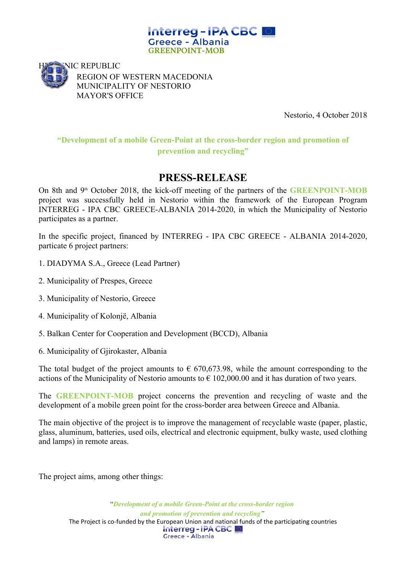



REGION OF WESTERN MACEDONIA MUNICIPALITY OF NESTORIO MAYOR'S OFFICE

Nestorio, 4 October 2018

# **"Development of a mobile Green-Point at the cross-border region and promotion of prevention and recycling"**

# **PRESS-RELEASE**

On 8th and 9<sup>th</sup> October 2018, the kick-off meeting of the partners of the **GREENPOINT-MOB** project was successfully held in Nestorio within the framework of the European Program INTERREG - IPA CBC GREECE-ALBANIA 2014-2020, in which the Municipality of Nestorio participates as a partner.

In the specific project, financed by INTERREG - IPA CBC GREECE - ALBANIA 2014-2020, particate 6 project partners:

- 1. DIADYMA S.A., Greece (Lead Partner)
- 2. Municipality of Prespes, Greece
- 3. Municipality of Nestorio, Greece
- 4. Municipality of Kolonjë, Albania
- 5. Balkan Center for Cooperation and Development (BCCD), Albania
- 6. Municipality of Gjirokaster, Albania

The total budget of the project amounts to  $\epsilon$  670,673.98, while the amount corresponding to the actions of the Municipality of Nestorio amounts to  $\epsilon$  102,000.00 and it has duration of two years.

The **GREENPOINT-MOB** project concerns the prevention and recycling of waste and the development of a mobile green point for the cross-border area between Greece and Albania.

The main objective of the project is to improve the management of recyclable waste (paper, plastic, glass, aluminum, batteries, used oils, electrical and electronic equipment, bulky waste, used clothing and lamps) in remote areas.

The project aims, among other things:

"*Development of a mobile Green-Point at the cross-border region and promotion of prevention and recycling"* The Project is co-funded by the European Union and national funds of the participating countries<br> **Interreg - IPA CBC** Greece - Albania